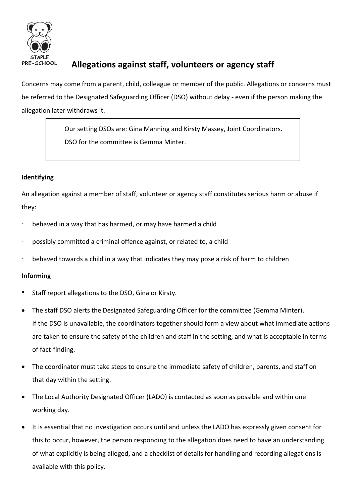

# **Allegations against staff, volunteers or agency staff**

Concerns may come from a parent, child, colleague or member of the public. Allegations or concerns must be referred to the Designated Safeguarding Officer (DSO) without delay - even if the person making the allegation later withdraws it.

> Our setting DSOs are: Gina Manning and Kirsty Massey, Joint Coordinators. DSO for the committee is Gemma Minter.

# **Identifying**

An allegation against a member of staff, volunteer or agency staff constitutes serious harm or abuse if they:

- behaved in a way that has harmed, or may have harmed a child
- possibly committed a criminal offence against, or related to, a child
- behaved towards a child in a way that indicates they may pose a risk of harm to children

## **Informing**

- Staff report allegations to the DSO, Gina or Kirsty.
- The staff DSO alerts the Designated Safeguarding Officer for the committee (Gemma Minter). If the DSO is unavailable, the coordinators together should form a view about what immediate actions are taken to ensure the safety of the children and staff in the setting, and what is acceptable in terms of fact-finding.
- The coordinator must take steps to ensure the immediate safety of children, parents, and staff on that day within the setting.
- The Local Authority Designated Officer (LADO) is contacted as soon as possible and within one working day.
- It is essential that no investigation occurs until and unless the LADO has expressly given consent for this to occur, however, the person responding to the allegation does need to have an understanding of what explicitly is being alleged, and a checklist of details for handling and recording allegations is available with this policy.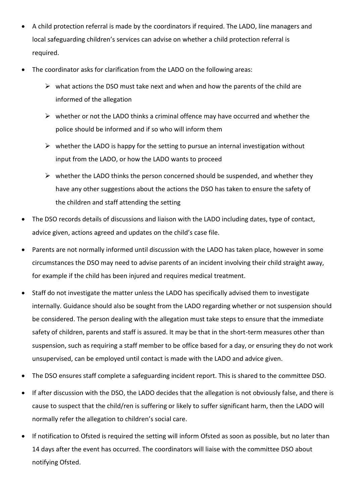- A child protection referral is made by the coordinators if required. The LADO, line managers and local safeguarding children's services can advise on whether a child protection referral is required.
- The coordinator asks for clarification from the LADO on the following areas:
	- $\triangleright$  what actions the DSO must take next and when and how the parents of the child are informed of the allegation
	- $\triangleright$  whether or not the LADO thinks a criminal offence may have occurred and whether the police should be informed and if so who will inform them
	- $\triangleright$  whether the LADO is happy for the setting to pursue an internal investigation without input from the LADO, or how the LADO wants to proceed
	- $\triangleright$  whether the LADO thinks the person concerned should be suspended, and whether they have any other suggestions about the actions the DSO has taken to ensure the safety of the children and staff attending the setting
- The DSO records details of discussions and liaison with the LADO including dates, type of contact, advice given, actions agreed and updates on the child's case file.
- Parents are not normally informed until discussion with the LADO has taken place, however in some circumstances the DSO may need to advise parents of an incident involving their child straight away, for example if the child has been injured and requires medical treatment.
- Staff do not investigate the matter unless the LADO has specifically advised them to investigate internally. Guidance should also be sought from the LADO regarding whether or not suspension should be considered. The person dealing with the allegation must take steps to ensure that the immediate safety of children, parents and staff is assured. It may be that in the short-term measures other than suspension, such as requiring a staff member to be office based for a day, or ensuring they do not work unsupervised, can be employed until contact is made with the LADO and advice given.
- The DSO ensures staff complete a safeguarding incident report. This is shared to the committee DSO.
- If after discussion with the DSO, the LADO decides that the allegation is not obviously false, and there is cause to suspect that the child/ren is suffering or likely to suffer significant harm, then the LADO will normally refer the allegation to children's social care.
- If notification to Ofsted is required the setting will inform Ofsted as soon as possible, but no later than 14 days after the event has occurred. The coordinators will liaise with the committee DSO about notifying Ofsted.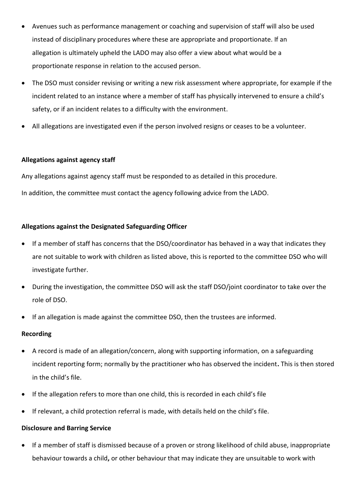- Avenues such as performance management or coaching and supervision of staff will also be used instead of disciplinary procedures where these are appropriate and proportionate. If an allegation is ultimately upheld the LADO may also offer a view about what would be a proportionate response in relation to the accused person.
- The DSO must consider revising or writing a new risk assessment where appropriate, for example if the incident related to an instance where a member of staff has physically intervened to ensure a child's safety, or if an incident relates to a difficulty with the environment.
- All allegations are investigated even if the person involved resigns or ceases to be a volunteer.

## **Allegations against agency staff**

Any allegations against agency staff must be responded to as detailed in this procedure.

In addition, the committee must contact the agency following advice from the LADO.

## **Allegations against the Designated Safeguarding Officer**

- If a member of staff has concerns that the DSO/coordinator has behaved in a way that indicates they are not suitable to work with children as listed above, this is reported to the committee DSO who will investigate further.
- During the investigation, the committee DSO will ask the staff DSO/joint coordinator to take over the role of DSO.
- If an allegation is made against the committee DSO, then the trustees are informed.

#### **Recording**

- A record is made of an allegation/concern, along with supporting information, on a safeguarding incident reporting form; normally by the practitioner who has observed the incident**.** This is then stored in the child's file.
- If the allegation refers to more than one child, this is recorded in each child's file
- If relevant, a child protection referral is made, with details held on the child's file.

## **Disclosure and Barring Service**

 If a member of staff is dismissed because of a proven or strong likelihood of child abuse, inappropriate behaviour towards a child**,** or other behaviour that may indicate they are unsuitable to work with